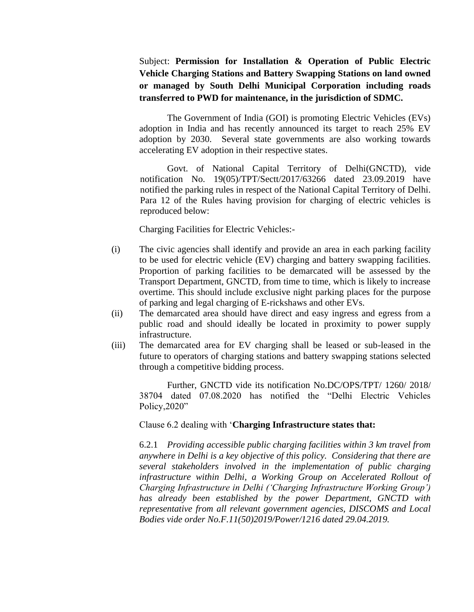Subject: **Permission for Installation & Operation of Public Electric Vehicle Charging Stations and Battery Swapping Stations on land owned or managed by South Delhi Municipal Corporation including roads transferred to PWD for maintenance, in the jurisdiction of SDMC.**

The Government of India (GOI) is promoting Electric Vehicles (EVs) adoption in India and has recently announced its target to reach 25% EV adoption by 2030. Several state governments are also working towards accelerating EV adoption in their respective states.

Govt. of National Capital Territory of Delhi(GNCTD), vide notification No. 19(05)/TPT/Sectt/2017/63266 dated 23.09.2019 have notified the parking rules in respect of the National Capital Territory of Delhi. Para 12 of the Rules having provision for charging of electric vehicles is reproduced below:

Charging Facilities for Electric Vehicles:-

- (i) The civic agencies shall identify and provide an area in each parking facility to be used for electric vehicle (EV) charging and battery swapping facilities. Proportion of parking facilities to be demarcated will be assessed by the Transport Department, GNCTD, from time to time, which is likely to increase overtime. This should include exclusive night parking places for the purpose of parking and legal charging of E-rickshaws and other EVs.
- (ii) The demarcated area should have direct and easy ingress and egress from a public road and should ideally be located in proximity to power supply infrastructure.
- (iii) The demarcated area for EV charging shall be leased or sub-leased in the future to operators of charging stations and battery swapping stations selected through a competitive bidding process.

Further, GNCTD vide its notification No.DC/OPS/TPT/ 1260/ 2018/ 38704 dated 07.08.2020 has notified the "Delhi Electric Vehicles Policy, 2020"

Clause 6.2 dealing with '**Charging Infrastructure states that:**

6.2.1 *Providing accessible public charging facilities within 3 km travel from anywhere in Delhi is a key objective of this policy. Considering that there are several stakeholders involved in the implementation of public charging infrastructure within Delhi, a Working Group on Accelerated Rollout of Charging Infrastructure in Delhi ('Charging Infrastructure Working Group') has already been established by the power Department, GNCTD with representative from all relevant government agencies, DISCOMS and Local Bodies vide order No.F.11(50)2019/Power/1216 dated 29.04.2019.*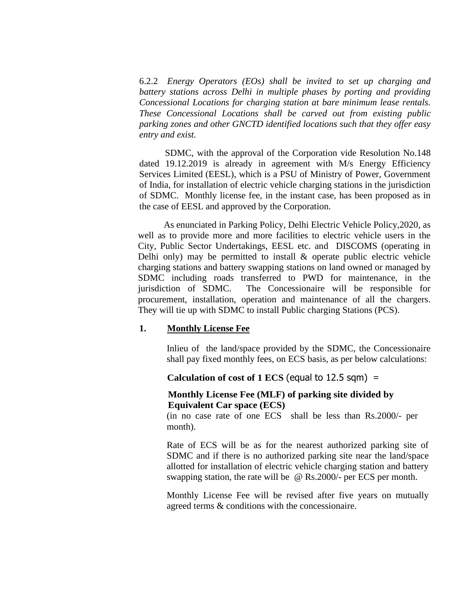6.2.2 *Energy Operators (EOs) shall be invited to set up charging and battery stations across Delhi in multiple phases by porting and providing Concessional Locations for charging station at bare minimum lease rentals. These Concessional Locations shall be carved out from existing public parking zones and other GNCTD identified locations such that they offer easy entry and exist.*

SDMC, with the approval of the Corporation vide Resolution No.148 dated 19.12.2019 is already in agreement with M/s Energy Efficiency Services Limited (EESL), which is a PSU of Ministry of Power, Government of India, for installation of electric vehicle charging stations in the jurisdiction of SDMC. Monthly license fee, in the instant case, has been proposed as in the case of EESL and approved by the Corporation.

As enunciated in Parking Policy, Delhi Electric Vehicle Policy,2020, as well as to provide more and more facilities to electric vehicle users in the City, Public Sector Undertakings, EESL etc. and DISCOMS (operating in Delhi only) may be permitted to install  $\&$  operate public electric vehicle charging stations and battery swapping stations on land owned or managed by SDMC including roads transferred to PWD for maintenance, in the jurisdiction of SDMC. The Concessionaire will be responsible for procurement, installation, operation and maintenance of all the chargers. They will tie up with SDMC to install Public charging Stations (PCS).

#### **1. Monthly License Fee**

Inlieu of the land/space provided by the SDMC, the Concessionaire shall pay fixed monthly fees, on ECS basis, as per below calculations:

 **Calculation of cost of 1 ECS** (equal to 12.5 sqm) **=** 

### **Monthly License Fee (MLF) of parking site divided by Equivalent Car space (ECS)**

(in no case rate of one ECS shall be less than Rs.2000/- per month).

Rate of ECS will be as for the nearest authorized parking site of SDMC and if there is no authorized parking site near the land/space allotted for installation of electric vehicle charging station and battery swapping station, the rate will be @ Rs.2000/- per ECS per month.

Monthly License Fee will be revised after five years on mutually agreed terms & conditions with the concessionaire.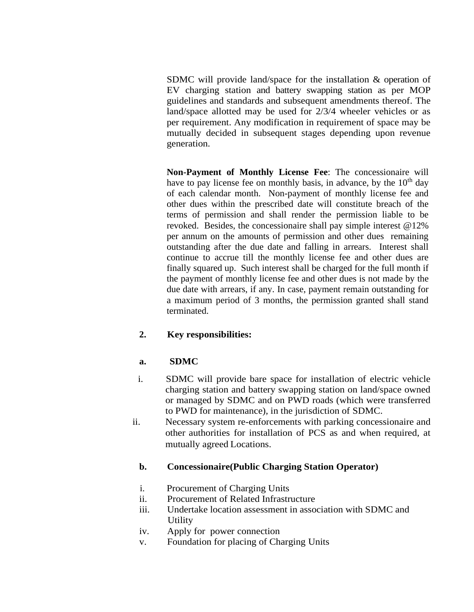SDMC will provide land/space for the installation & operation of EV charging station and battery swapping station as per MOP guidelines and standards and subsequent amendments thereof. The land/space allotted may be used for 2/3/4 wheeler vehicles or as per requirement. Any modification in requirement of space may be mutually decided in subsequent stages depending upon revenue generation.

**Non-Payment of Monthly License Fee**: The concessionaire will have to pay license fee on monthly basis, in advance, by the  $10<sup>th</sup>$  day of each calendar month. Non-payment of monthly license fee and other dues within the prescribed date will constitute breach of the terms of permission and shall render the permission liable to be revoked. Besides, the concessionaire shall pay simple interest @12% per annum on the amounts of permission and other dues remaining outstanding after the due date and falling in arrears. Interest shall continue to accrue till the monthly license fee and other dues are finally squared up. Such interest shall be charged for the full month if the payment of monthly license fee and other dues is not made by the due date with arrears, if any. In case, payment remain outstanding for a maximum period of 3 months, the permission granted shall stand terminated.

## **2. Key responsibilities:**

## **a. SDMC**

- i. SDMC will provide bare space for installation of electric vehicle charging station and battery swapping station on land/space owned or managed by SDMC and on PWD roads (which were transferred to PWD for maintenance), in the jurisdiction of SDMC.
- ii. Necessary system re-enforcements with parking concessionaire and other authorities for installation of PCS as and when required, at mutually agreed Locations.

## **b. Concessionaire(Public Charging Station Operator)**

- i. Procurement of Charging Units
- ii. Procurement of Related Infrastructure
- iii. Undertake location assessment in association with SDMC and Utility
- iv. Apply for power connection
- v. Foundation for placing of Charging Units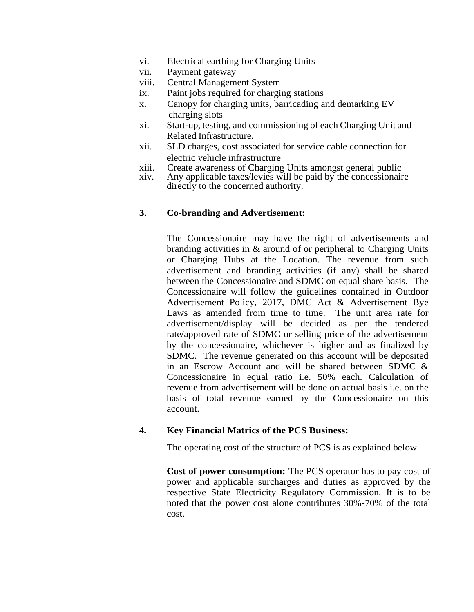- vi. Electrical earthing for Charging Units
- vii. Payment gateway
- viii. Central Management System
- ix. Paint jobs required for charging stations
- x. Canopy for charging units, barricading and demarking EV charging slots
- xi. Start-up, testing, and commissioning of each Charging Unit and Related Infrastructure.
- xii. SLD charges, cost associated for service cable connection for electric vehicle infrastructure
- xiii. Create awareness of Charging Units amongst general public
- xiv. Any applicable taxes/levies will be paid by the concessionaire directly to the concerned authority.

### **3. Co-branding and Advertisement:**

The Concessionaire may have the right of advertisements and branding activities in & around of or peripheral to Charging Units or Charging Hubs at the Location. The revenue from such advertisement and branding activities (if any) shall be shared between the Concessionaire and SDMC on equal share basis. The Concessionaire will follow the guidelines contained in Outdoor Advertisement Policy, 2017, DMC Act & Advertisement Bye Laws as amended from time to time. The unit area rate for advertisement/display will be decided as per the tendered rate/approved rate of SDMC or selling price of the advertisement by the concessionaire, whichever is higher and as finalized by SDMC. The revenue generated on this account will be deposited in an Escrow Account and will be shared between SDMC & Concessionaire in equal ratio i.e. 50% each. Calculation of revenue from advertisement will be done on actual basis i.e. on the basis of total revenue earned by the Concessionaire on this account.

## **4. Key Financial Matrics of the PCS Business:**

The operating cost of the structure of PCS is as explained below.

**Cost of power consumption:** The PCS operator has to pay cost of power and applicable surcharges and duties as approved by the respective State Electricity Regulatory Commission. It is to be noted that the power cost alone contributes 30%-70% of the total cost.